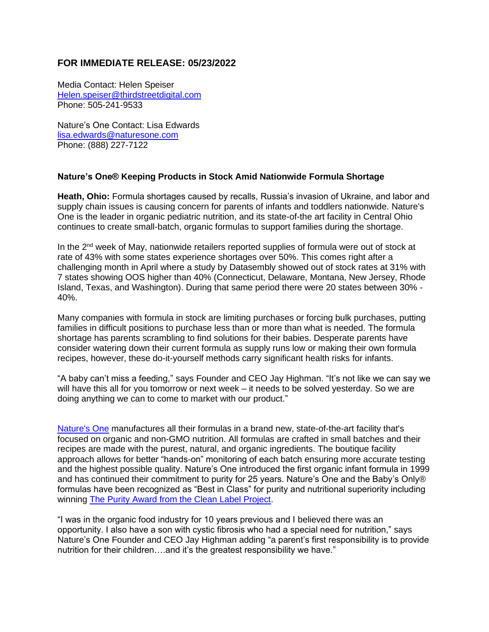## **FOR IMMEDIATE RELEASE: 05/23/2022**

Media Contact: Helen Speiser Helen.speiser@thirdstreetdigital.com Phone: 505-241-9533

Nature's One Contact: Lisa Edwards lisa.edwards@naturesone.com Phone: (888) 227-7122

## **Nature's One® Keeping Products in Stock Amid Nationwide Formula Shortage**

**Heath, Ohio:** Formula shortages caused by recalls, Russia's invasion of Ukraine, and labor and supply chain issues is causing concern for parents of infants and toddlers nationwide. Nature's One is the leader in organic pediatric nutrition, and its state-of-the art facility in Central Ohio continues to create small-batch, organic formulas to support families during the shortage.

In the  $2<sup>nd</sup>$  week of May, nationwide retailers reported supplies of formula were out of stock at rate of 43% with some states experience shortages over 50%. This comes right after a challenging month in April where a study by Datasembly showed out of stock rates at 31% with 7 states showing OOS higher than 40% (Connecticut, Delaware, Montana, New Jersey, Rhode Island, Texas, and Washington). During that same period there were 20 states between 30% - 40%.

Many companies with formula in stock are limiting purchases or forcing bulk purchases, putting families in difficult positions to purchase less than or more than what is needed. The formula shortage has parents scrambling to find solutions for their babies. Desperate parents have consider watering down their current formula as supply runs low or making their own formula recipes, however, these do-it-yourself methods carry significant health risks for infants.

"A baby can't miss a feeding," says Founder and CEO Jay Highman. "It's not like we can say we will have this all for you tomorrow or next week – it needs to be solved yesterday. So we are doing anything we can to come to market with our product."

Nature's One manufactures all their formulas in a brand new, state-of-the-art facility that's focused on organic and non-GMO nutrition. All formulas are crafted in small batches and their recipes are made with the purest, natural, and organic ingredients. The boutique facility approach allows for better "hands-on" monitoring of each batch ensuring more accurate testing and the highest possible quality. Nature's One introduced the first organic infant formula in 1999 and has continued their commitment to purity for 25 years. Nature's One and the Baby's Only® formulas have been recognized as "Best in Class" for purity and nutritional superiority including winning The Purity Award from the Clean Label Project.

"I was in the organic food industry for 10 years previous and I believed there was an opportunity. I also have a son with cystic fibrosis who had a special need for nutrition," says Nature's One Founder and CEO Jay Highman adding "a parent's first responsibility is to provide nutrition for their children….and it's the greatest responsibility we have."